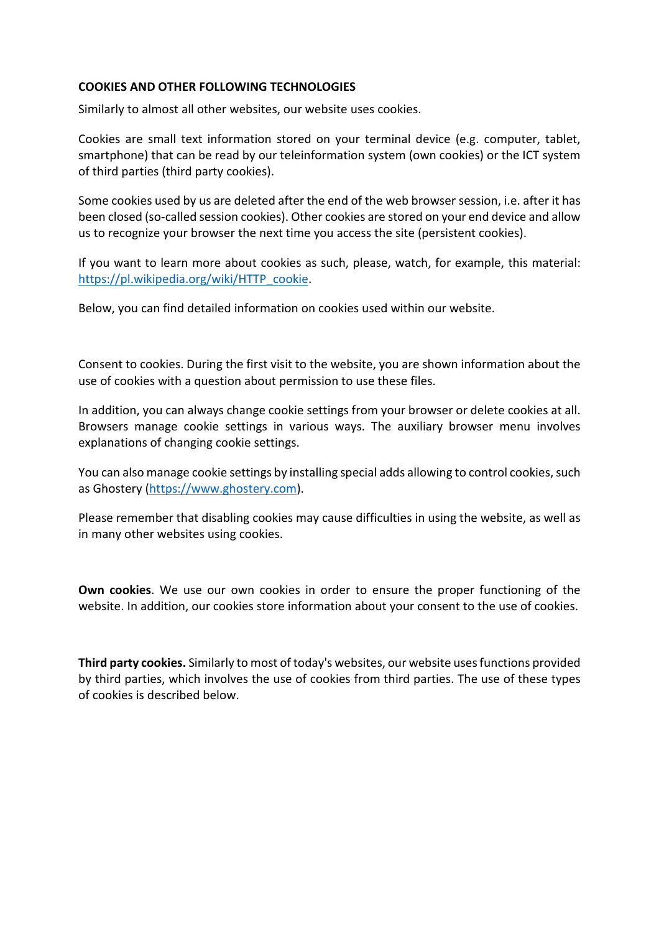## **COOKIES AND OTHER FOLLOWING TECHNOLOGIES**

Similarly to almost all other websites, our website uses cookies.

Cookies are small text information stored on your terminal device (e.g. computer, tablet, smartphone) that can be read by our teleinformation system (own cookies) or the ICT system of third parties (third party cookies).

Some cookies used by us are deleted after the end of the web browser session, i.e. after it has been closed (so-called session cookies). Other cookies are stored on your end device and allow us to recognize your browser the next time you access the site (persistent cookies).

If you want to learn more about cookies as such, please, watch, for example, this material: [https://pl.wikipedia.org/wiki/HTTP\\_cookie.](https://pl.wikipedia.org/wiki/HTTP_cookie)

Below, you can find detailed information on cookies used within our website.

Consent to cookies. During the first visit to the website, you are shown information about the use of cookies with a question about permission to use these files.

In addition, you can always change cookie settings from your browser or delete cookies at all. Browsers manage cookie settings in various ways. The auxiliary browser menu involves explanations of changing cookie settings.

You can also manage cookie settings by installing special adds allowing to control cookies, such as Ghostery [\(https://www.ghostery.com\)](https://www.ghostery.com/).

Please remember that disabling cookies may cause difficulties in using the website, as well as in many other websites using cookies.

**Own cookies**. We use our own cookies in order to ensure the proper functioning of the website. In addition, our cookies store information about your consent to the use of cookies.

**Third party cookies.** Similarly to most of today's websites, our website uses functions provided by third parties, which involves the use of cookies from third parties. The use of these types of cookies is described below.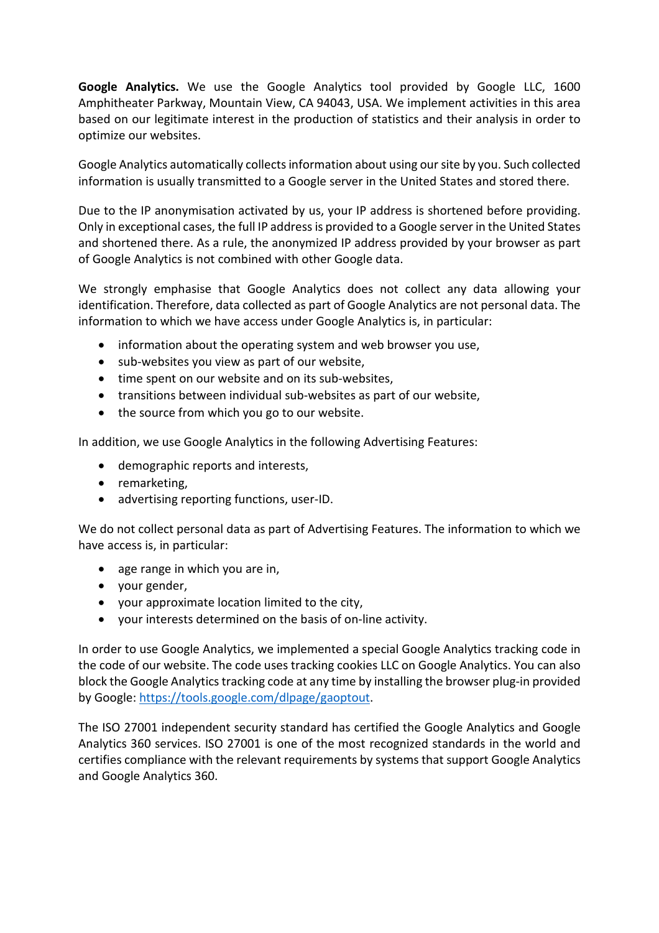**Google Analytics.** We use the Google Analytics tool provided by Google LLC, 1600 Amphitheater Parkway, Mountain View, CA 94043, USA. We implement activities in this area based on our legitimate interest in the production of statistics and their analysis in order to optimize our websites.

Google Analytics automatically collects information about using our site by you. Such collected information is usually transmitted to a Google server in the United States and stored there.

Due to the IP anonymisation activated by us, your IP address is shortened before providing. Only in exceptional cases, the full IP address is provided to a Google server in the United States and shortened there. As a rule, the anonymized IP address provided by your browser as part of Google Analytics is not combined with other Google data.

We strongly emphasise that Google Analytics does not collect any data allowing your identification. Therefore, data collected as part of Google Analytics are not personal data. The information to which we have access under Google Analytics is, in particular:

- information about the operating system and web browser you use,
- sub-websites you view as part of our website,
- time spent on our website and on its sub-websites,
- transitions between individual sub-websites as part of our website,
- the source from which you go to our website.

In addition, we use Google Analytics in the following Advertising Features:

- demographic reports and interests,
- remarketing,
- advertising reporting functions, user-ID.

We do not collect personal data as part of Advertising Features. The information to which we have access is, in particular:

- age range in which you are in,
- your gender,
- your approximate location limited to the city,
- your interests determined on the basis of on-line activity.

In order to use Google Analytics, we implemented a special Google Analytics tracking code in the code of our website. The code uses tracking cookies LLC on Google Analytics. You can also block the Google Analytics tracking code at any time by installing the browser plug-in provided by Google[: https://tools.google.com/dlpage/gaoptout.](https://tools.google.com/dlpage/gaoptout)

The ISO 27001 independent security standard has certified the Google Analytics and Google Analytics 360 services. ISO 27001 is one of the most recognized standards in the world and certifies compliance with the relevant requirements by systems that support Google Analytics and Google Analytics 360.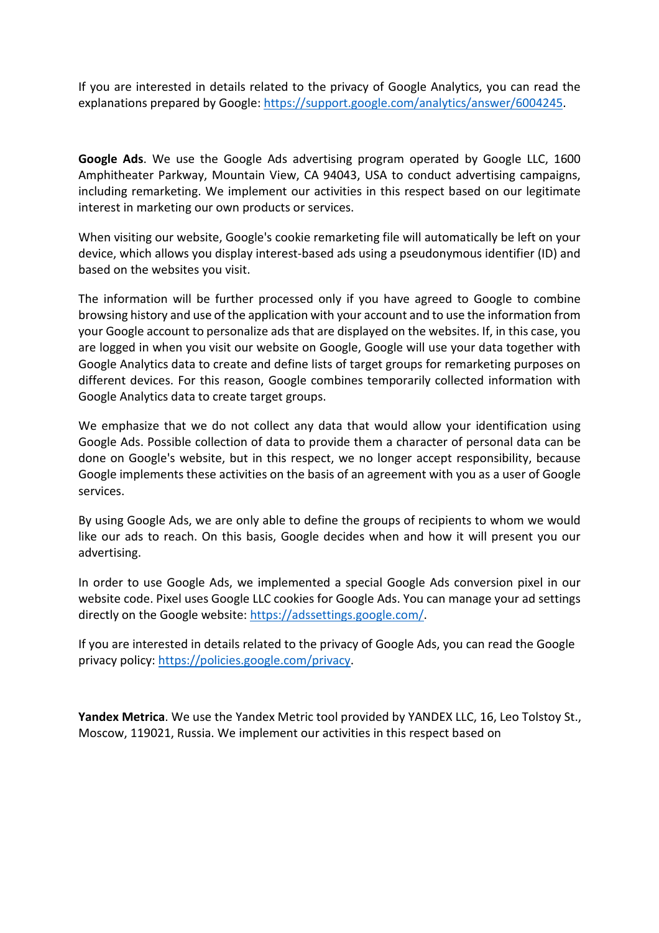If you are interested in details related to the privacy of Google Analytics, you can read the explanations prepared by Google: [https://support.google.com/analytics/answer/6004245.](https://support.google.com/analytics/answer/6004245)

**Google Ads**. We use the Google Ads advertising program operated by Google LLC, 1600 Amphitheater Parkway, Mountain View, CA 94043, USA to conduct advertising campaigns, including remarketing. We implement our activities in this respect based on our legitimate interest in marketing our own products or services.

When visiting our website, Google's cookie remarketing file will automatically be left on your device, which allows you display interest-based ads using a pseudonymous identifier (ID) and based on the websites you visit.

The information will be further processed only if you have agreed to Google to combine browsing history and use of the application with your account and to use the information from your Google account to personalize ads that are displayed on the websites. If, in this case, you are logged in when you visit our website on Google, Google will use your data together with Google Analytics data to create and define lists of target groups for remarketing purposes on different devices. For this reason, Google combines temporarily collected information with Google Analytics data to create target groups.

We emphasize that we do not collect any data that would allow your identification using Google Ads. Possible collection of data to provide them a character of personal data can be done on Google's website, but in this respect, we no longer accept responsibility, because Google implements these activities on the basis of an agreement with you as a user of Google services.

By using Google Ads, we are only able to define the groups of recipients to whom we would like our ads to reach. On this basis, Google decides when and how it will present you our advertising.

In order to use Google Ads, we implemented a special Google Ads conversion pixel in our website code. Pixel uses Google LLC cookies for Google Ads. You can manage your ad settings directly on the Google website: [https://adssettings.google.com/.](https://adssettings.google.com/)

If you are interested in details related to the privacy of Google Ads, you can read the Google privacy policy: [https://policies.google.com/privacy.](https://policies.google.com/privacy)

**Yandex Metrica**. We use the Yandex Metric tool provided by YANDEX LLC, 16, Leo Tolstoy St., Moscow, 119021, Russia. We implement our activities in this respect based on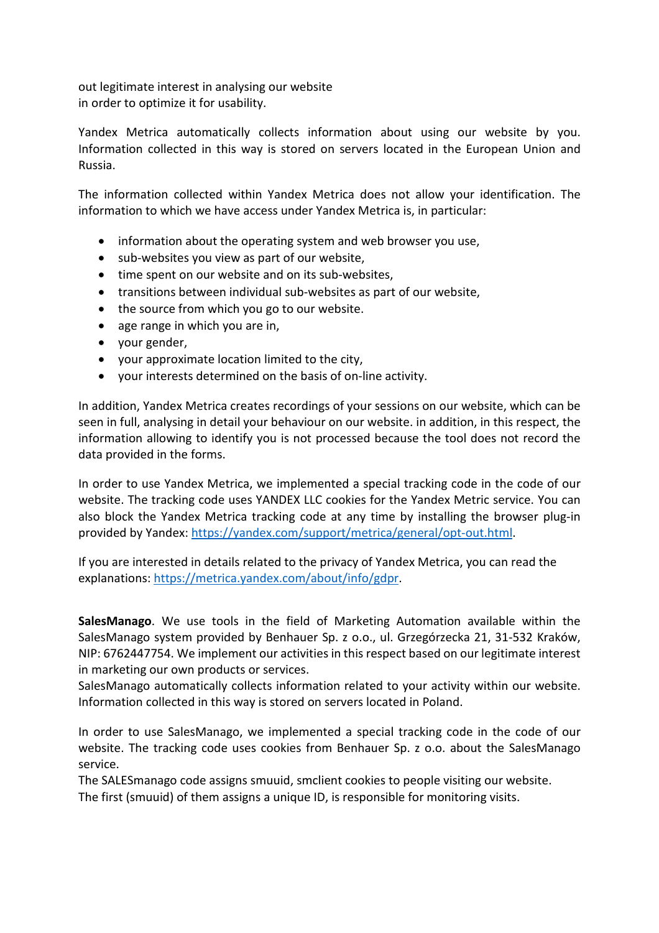out legitimate interest in analysing our website in order to optimize it for usability.

Yandex Metrica automatically collects information about using our website by you. Information collected in this way is stored on servers located in the European Union and Russia.

The information collected within Yandex Metrica does not allow your identification. The information to which we have access under Yandex Metrica is, in particular:

- information about the operating system and web browser you use,
- sub-websites you view as part of our website,
- time spent on our website and on its sub-websites,
- transitions between individual sub-websites as part of our website,
- the source from which you go to our website.
- age range in which you are in,
- your gender,
- your approximate location limited to the city,
- your interests determined on the basis of on-line activity.

In addition, Yandex Metrica creates recordings of your sessions on our website, which can be seen in full, analysing in detail your behaviour on our website. in addition, in this respect, the information allowing to identify you is not processed because the tool does not record the data provided in the forms.

In order to use Yandex Metrica, we implemented a special tracking code in the code of our website. The tracking code uses YANDEX LLC cookies for the Yandex Metric service. You can also block the Yandex Metrica tracking code at any time by installing the browser plug-in provided by Yandex: [https://yandex.com/support/metrica/general/opt-out.html.](https://yandex.com/support/metrica/general/opt-out.html)

If you are interested in details related to the privacy of Yandex Metrica, you can read the explanations: [https://metrica.yandex.com/about/info/gdpr.](https://metrica.yandex.com/about/info/gdpr)

**SalesManago**. We use tools in the field of Marketing Automation available within the SalesManago system provided by Benhauer Sp. z o.o., ul. Grzegórzecka 21, 31-532 Kraków, NIP: 6762447754. We implement our activities in this respect based on our legitimate interest in marketing our own products or services.

SalesManago automatically collects information related to your activity within our website. Information collected in this way is stored on servers located in Poland.

In order to use SalesManago, we implemented a special tracking code in the code of our website. The tracking code uses cookies from Benhauer Sp. z o.o. about the SalesManago service.

The SALESmanago code assigns smuuid, smclient cookies to people visiting our website. The first (smuuid) of them assigns a unique ID, is responsible for monitoring visits.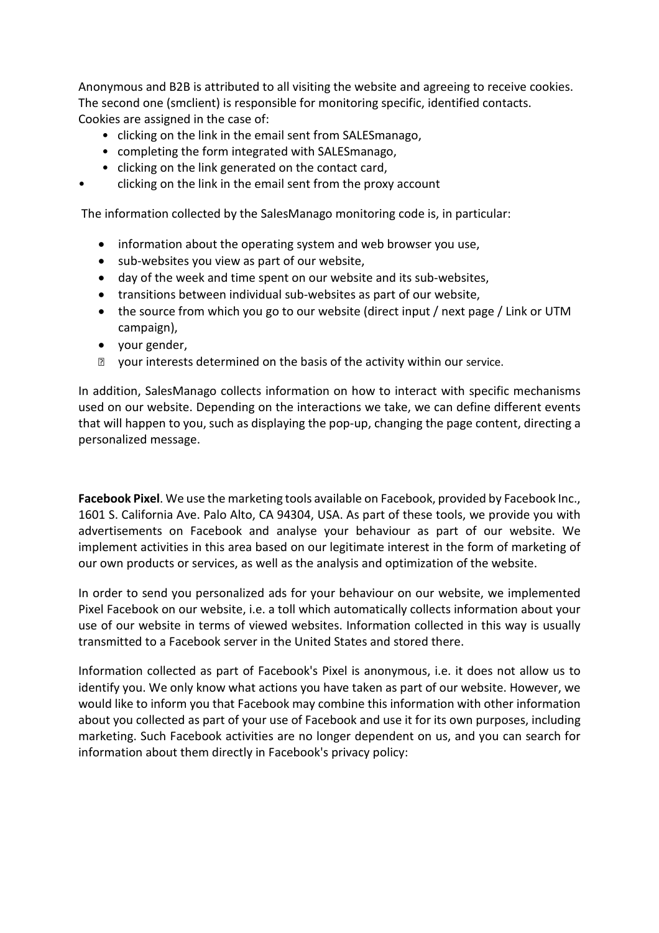Anonymous and B2B is attributed to all visiting the website and agreeing to receive cookies. The second one (smclient) is responsible for monitoring specific, identified contacts. Cookies are assigned in the case of:

- clicking on the link in the email sent from SALESmanago,
- completing the form integrated with SALESmanago,
- clicking on the link generated on the contact card,
- clicking on the link in the email sent from the proxy account

The information collected by the SalesManago monitoring code is, in particular:

- information about the operating system and web browser you use,
- sub-websites you view as part of our website,
- day of the week and time spent on our website and its sub-websites,
- transitions between individual sub-websites as part of our website,
- the source from which you go to our website (direct input / next page / Link or UTM campaign),
- your gender,
- **Z** your interests determined on the basis of the activity within our service.

In addition, SalesManago collects information on how to interact with specific mechanisms used on our website. Depending on the interactions we take, we can define different events that will happen to you, such as displaying the pop-up, changing the page content, directing a personalized message.

**Facebook Pixel**. We use the marketing tools available on Facebook, provided by Facebook Inc., 1601 S. California Ave. Palo Alto, CA 94304, USA. As part of these tools, we provide you with advertisements on Facebook and analyse your behaviour as part of our website. We implement activities in this area based on our legitimate interest in the form of marketing of our own products or services, as well as the analysis and optimization of the website.

In order to send you personalized ads for your behaviour on our website, we implemented Pixel Facebook on our website, i.e. a toll which automatically collects information about your use of our website in terms of viewed websites. Information collected in this way is usually transmitted to a Facebook server in the United States and stored there.

Information collected as part of Facebook's Pixel is anonymous, i.e. it does not allow us to identify you. We only know what actions you have taken as part of our website. However, we would like to inform you that Facebook may combine this information with other information about you collected as part of your use of Facebook and use it for its own purposes, including marketing. Such Facebook activities are no longer dependent on us, and you can search for information about them directly in Facebook's privacy policy: